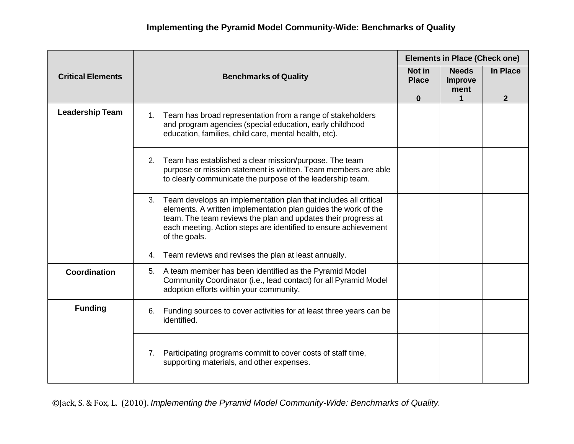|                          |                                                                                                                                                                                                                                                                                              | <b>Elements in Place (Check one)</b> |                                                |                          |
|--------------------------|----------------------------------------------------------------------------------------------------------------------------------------------------------------------------------------------------------------------------------------------------------------------------------------------|--------------------------------------|------------------------------------------------|--------------------------|
| <b>Critical Elements</b> | <b>Benchmarks of Quality</b>                                                                                                                                                                                                                                                                 | Not in<br><b>Place</b><br>$\bf{0}$   | <b>Needs</b><br>Improve<br>ment<br>$\mathbf 1$ | In Place<br>$\mathbf{2}$ |
| <b>Leadership Team</b>   | Team has broad representation from a range of stakeholders<br>1.<br>and program agencies (special education, early childhood<br>education, families, child care, mental health, etc).                                                                                                        |                                      |                                                |                          |
|                          | Team has established a clear mission/purpose. The team<br>2.<br>purpose or mission statement is written. Team members are able<br>to clearly communicate the purpose of the leadership team.                                                                                                 |                                      |                                                |                          |
|                          | Team develops an implementation plan that includes all critical<br>3.<br>elements. A written implementation plan guides the work of the<br>team. The team reviews the plan and updates their progress at<br>each meeting. Action steps are identified to ensure achievement<br>of the goals. |                                      |                                                |                          |
|                          | Team reviews and revises the plan at least annually.<br>4.                                                                                                                                                                                                                                   |                                      |                                                |                          |
| <b>Coordination</b>      | A team member has been identified as the Pyramid Model<br>5.<br>Community Coordinator (i.e., lead contact) for all Pyramid Model<br>adoption efforts within your community.                                                                                                                  |                                      |                                                |                          |
| <b>Funding</b>           | Funding sources to cover activities for at least three years can be<br>6.<br>identified.                                                                                                                                                                                                     |                                      |                                                |                          |
|                          | Participating programs commit to cover costs of staff time,<br>7.<br>supporting materials, and other expenses.                                                                                                                                                                               |                                      |                                                |                          |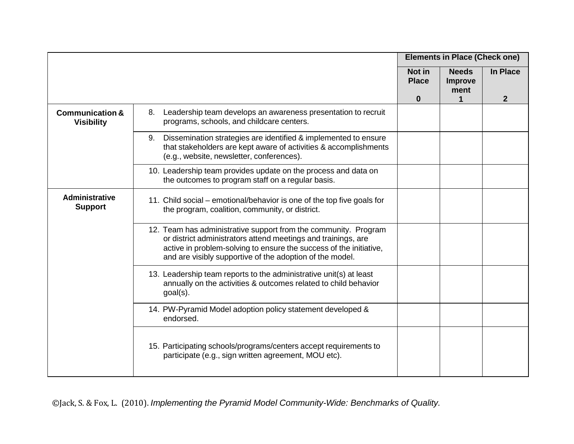|                                                 |                                                                                                                                                                                                                                                                    | <b>Elements in Place (Check one)</b> |                                        |                 |
|-------------------------------------------------|--------------------------------------------------------------------------------------------------------------------------------------------------------------------------------------------------------------------------------------------------------------------|--------------------------------------|----------------------------------------|-----------------|
|                                                 |                                                                                                                                                                                                                                                                    | Not in<br><b>Place</b>               | <b>Needs</b><br><b>Improve</b><br>ment | <b>In Place</b> |
| <b>Communication &amp;</b><br><b>Visibility</b> | Leadership team develops an awareness presentation to recruit<br>8.<br>programs, schools, and childcare centers.                                                                                                                                                   | $\bf{0}$                             | 1                                      | $\mathbf{2}$    |
|                                                 | Dissemination strategies are identified & implemented to ensure<br>9.<br>that stakeholders are kept aware of activities & accomplishments<br>(e.g., website, newsletter, conferences).                                                                             |                                      |                                        |                 |
|                                                 | 10. Leadership team provides update on the process and data on<br>the outcomes to program staff on a regular basis.                                                                                                                                                |                                      |                                        |                 |
| <b>Administrative</b><br><b>Support</b>         | 11. Child social – emotional/behavior is one of the top five goals for<br>the program, coalition, community, or district.                                                                                                                                          |                                      |                                        |                 |
|                                                 | 12. Team has administrative support from the community. Program<br>or district administrators attend meetings and trainings, are<br>active in problem-solving to ensure the success of the initiative,<br>and are visibly supportive of the adoption of the model. |                                      |                                        |                 |
|                                                 | 13. Leadership team reports to the administrative unit(s) at least<br>annually on the activities & outcomes related to child behavior<br>goal(s).                                                                                                                  |                                      |                                        |                 |
|                                                 | 14. PW-Pyramid Model adoption policy statement developed &<br>endorsed.                                                                                                                                                                                            |                                      |                                        |                 |
|                                                 | 15. Participating schools/programs/centers accept requirements to<br>participate (e.g., sign written agreement, MOU etc).                                                                                                                                          |                                      |                                        |                 |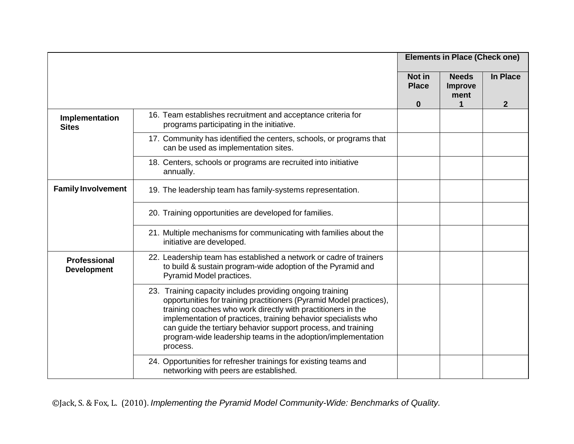|                                    |                                                                                                                                                                                                                                                                                                                                                                                                                 | <b>Elements in Place (Check one)</b> |                                      |                                 |
|------------------------------------|-----------------------------------------------------------------------------------------------------------------------------------------------------------------------------------------------------------------------------------------------------------------------------------------------------------------------------------------------------------------------------------------------------------------|--------------------------------------|--------------------------------------|---------------------------------|
|                                    |                                                                                                                                                                                                                                                                                                                                                                                                                 | Not in<br><b>Place</b><br>$\bf{0}$   | <b>Needs</b><br>Improve<br>ment<br>1 | <b>In Place</b><br>$\mathbf{2}$ |
| Implementation<br><b>Sites</b>     | 16. Team establishes recruitment and acceptance criteria for<br>programs participating in the initiative.                                                                                                                                                                                                                                                                                                       |                                      |                                      |                                 |
|                                    | 17. Community has identified the centers, schools, or programs that<br>can be used as implementation sites.                                                                                                                                                                                                                                                                                                     |                                      |                                      |                                 |
|                                    | 18. Centers, schools or programs are recruited into initiative<br>annually.                                                                                                                                                                                                                                                                                                                                     |                                      |                                      |                                 |
| <b>Family Involvement</b>          | 19. The leadership team has family-systems representation.                                                                                                                                                                                                                                                                                                                                                      |                                      |                                      |                                 |
|                                    | 20. Training opportunities are developed for families.                                                                                                                                                                                                                                                                                                                                                          |                                      |                                      |                                 |
|                                    | 21. Multiple mechanisms for communicating with families about the<br>initiative are developed.                                                                                                                                                                                                                                                                                                                  |                                      |                                      |                                 |
| Professional<br><b>Development</b> | 22. Leadership team has established a network or cadre of trainers<br>to build & sustain program-wide adoption of the Pyramid and<br>Pyramid Model practices.                                                                                                                                                                                                                                                   |                                      |                                      |                                 |
|                                    | 23. Training capacity includes providing ongoing training<br>opportunities for training practitioners (Pyramid Model practices),<br>training coaches who work directly with practitioners in the<br>implementation of practices, training behavior specialists who<br>can guide the tertiary behavior support process, and training<br>program-wide leadership teams in the adoption/implementation<br>process. |                                      |                                      |                                 |
|                                    | 24. Opportunities for refresher trainings for existing teams and<br>networking with peers are established.                                                                                                                                                                                                                                                                                                      |                                      |                                      |                                 |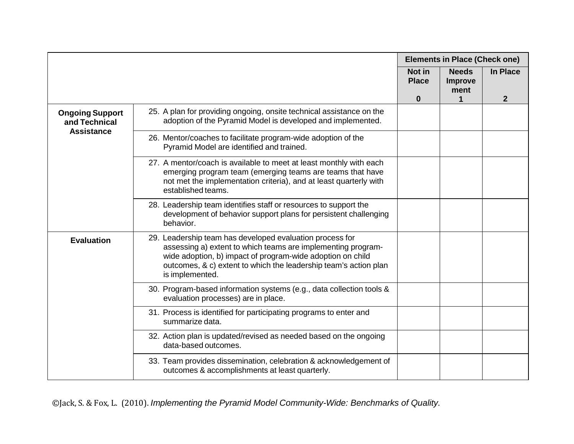|                                                              |                                                                                                                                                                                                                                                                               | <b>Elements in Place (Check one)</b> |                                        |              |
|--------------------------------------------------------------|-------------------------------------------------------------------------------------------------------------------------------------------------------------------------------------------------------------------------------------------------------------------------------|--------------------------------------|----------------------------------------|--------------|
|                                                              |                                                                                                                                                                                                                                                                               | Not in<br><b>Place</b>               | <b>Needs</b><br><b>Improve</b><br>ment | In Place     |
|                                                              |                                                                                                                                                                                                                                                                               | $\bf{0}$                             | $\mathbf 1$                            | $\mathbf{2}$ |
| <b>Ongoing Support</b><br>and Technical<br><b>Assistance</b> | 25. A plan for providing ongoing, onsite technical assistance on the<br>adoption of the Pyramid Model is developed and implemented.                                                                                                                                           |                                      |                                        |              |
|                                                              | 26. Mentor/coaches to facilitate program-wide adoption of the<br>Pyramid Model are identified and trained.                                                                                                                                                                    |                                      |                                        |              |
|                                                              | 27. A mentor/coach is available to meet at least monthly with each<br>emerging program team (emerging teams are teams that have<br>not met the implementation criteria), and at least quarterly with<br>established teams.                                                    |                                      |                                        |              |
|                                                              | 28. Leadership team identifies staff or resources to support the<br>development of behavior support plans for persistent challenging<br>behavior.                                                                                                                             |                                      |                                        |              |
| <b>Evaluation</b>                                            | 29. Leadership team has developed evaluation process for<br>assessing a) extent to which teams are implementing program-<br>wide adoption, b) impact of program-wide adoption on child<br>outcomes, & c) extent to which the leadership team's action plan<br>is implemented. |                                      |                                        |              |
|                                                              | 30. Program-based information systems (e.g., data collection tools &<br>evaluation processes) are in place.                                                                                                                                                                   |                                      |                                        |              |
|                                                              | 31. Process is identified for participating programs to enter and<br>summarize data.                                                                                                                                                                                          |                                      |                                        |              |
|                                                              | 32. Action plan is updated/revised as needed based on the ongoing<br>data-based outcomes.                                                                                                                                                                                     |                                      |                                        |              |
|                                                              | 33. Team provides dissemination, celebration & acknowledgement of<br>outcomes & accomplishments at least quarterly.                                                                                                                                                           |                                      |                                        |              |